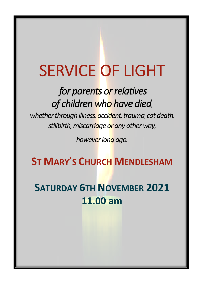# SERVICE OF LIGHT

# *for parents or relatives of children who have died,*

*whether through illness, accident,trauma, cot death, stillbirth, miscarriage or any other way,*

*however long ago.*

# **ST MARY**'**S CHURCH MENDLESHAM**

# **SATURDAY 6TH NOVEMBER 2021 11.00 am**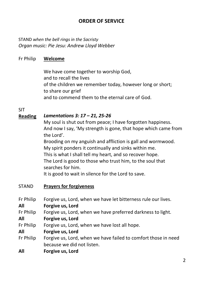# **ORDER OF SERVICE**

STAND *when the bell rings in the Sacristy Organ music: Pie Jesu: Andrew Lloyd Webber*

# Fr Philip **Welcome**

We have come together to worship God, and to recall the lives of the children we remember today, however long or short; to share our grief and to commend them to the eternal care of God.

SIT

# **Reading** *Lamentations 3: 17 – 21, 25-26*

My soul is shut out from peace; I have forgotten happiness. And now I say, 'My strength is gone, that hope which came from the Lord'.

Brooding on my anguish and affliction is gall and wormwood. My spirit ponders it continually and sinks within me.

This is what I shall tell my heart, and so recover hope. The Lord is good to those who trust him, to the soul that searches for him.

It is good to wait in silence for the Lord to save.

# STAND **Prayers for forgiveness**

Fr Philip **All** Fr Philip **All** Fr Philip **All** Fr Philip Forgive us, Lord, when we have let bitterness rule our lives. **Forgive us, Lord** Forgive us, Lord, when we have preferred darkness to light. **Forgive us, Lord** Forgive us, Lord, when we have lost all hope. **Forgive us, Lord** Forgive us, Lord, when we have failed to comfort those in need because we did not listen.

**All Forgive us, Lord**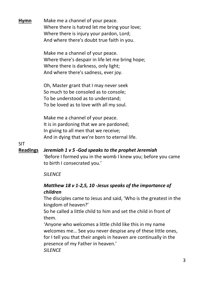**Hymn** Make me a channel of your peace. Where there is hatred let me bring your love; Where there is injury your pardon, Lord; And where there's doubt true faith in you.

> Make me a channel of your peace. Where there's despair in life let me bring hope; Where there is darkness, only light; And where there's sadness, ever joy.

Oh, Master grant that I may never seek So much to be consoled as to console; To be understood as to understand; To be loved as to love with all my soul.

Make me a channel of your peace. It is in pardoning that we are pardoned; In giving to all men that we receive; And in dying that we're born to eternal life.

**SIT** 

# **Readings** *Jeremiah 1 v 5 -God speaks to the prophet Jeremiah*

'Before I formed you in the womb I knew you; before you came to birth I consecrated you.'

# *SILENCE*

# *Matthew 18 v 1-2,5, 10 -Jesus speaks of the importance of children*

The disciples came to Jesus and said, 'Who is the greatest in the kingdom of heaven?'

So he called a little child to him and set the child in front of them.

'Anyone who welcomes a little child like this in my name welcomes me… See you never despise any of these little ones, for I tell you that their angels in heaven are continually in the presence of my Father in heaven.' *SILENCE*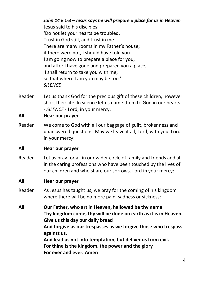*John 14 v 1-3 – Jesus says he will prepare a place for us in Heaven* Jesus said to his disciples: 'Do not let your hearts be troubled. Trust in God still, and trust in me. There are many rooms in my Father's house;

if there were not, I should have told you. I am going now to prepare a place for you, and after I have gone and prepared you a place, I shall return to take you with me; so that where I am you may be too.' *SILENCE*

Reader Let us thank God for the precious gift of these children, however short their life. In silence let us name them to God in our hearts. - *SILENCE* - Lord, in your mercy:

# **All Hear our prayer**

Reader We come to God with all our baggage of guilt, brokenness and unanswered questions. May we leave it all, Lord, with you. Lord in your mercy:

# **All Hear our prayer**

Reader Let us pray for all in our wider circle of family and friends and all in the caring professions who have been touched by the lives of our children and who share our sorrows. Lord in your mercy:

# **All Hear our prayer**

- Reader As Jesus has taught us, we pray for the coming of his kingdom where there will be no more pain, sadness or sickness:
- **All Our Father, who art in Heaven, hallowed be thy name. Thy kingdom come, thy will be done on earth as it is in Heaven. Give us this day our daily bread And forgive us our trespasses as we forgive those who trespass against us. And lead us not into temptation, but deliver us from evil. For thine is the kingdom, the power and the glory For ever and ever. Amen**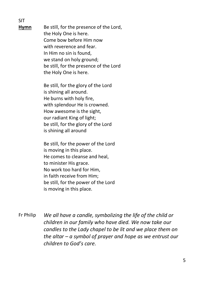SIT

**Hymn** Be still, for the presence of the Lord, the Holy One is here. Come bow before Him now with reverence and fear. In Him no sin is found, we stand on holy ground; be still, for the presence of the Lord

the Holy One is here.

Be still, for the glory of the Lord is shining all around. He burns with holy fire, with splendour He is crowned. How awesome is the sight, our radiant King of light; be still, for the glory of the Lord is shining all around

Be still, for the power of the Lord is moving in this place. He comes to cleanse and heal, to minister His grace. No work too hard for Him, in faith receive from Him; be still, for the power of the Lord is moving in this place.

Fr Philip *We all have a candle, symbolizing the life of the child or children in our family who have died. We now take our candles to the Lady chapel to be lit and we place them on the altar – a symbol of prayer and hope as we entrust our children to God's care.*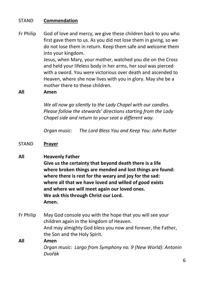#### STAND **Commendation**

Fr Philip God of love and mercy, we give these children back to you who first gave them to us. As you did not lose them in giving, so we do not lose them in return. Keep them safe and welcome them into your kingdom.

Jesus, when Mary, your mother, watched you die on the Cross and held your lifeless body in her arms, her soul was pierced with a sword. You were victorious over death and ascended to Heaven, where she now lives with you in glory. May she be a mother there to these children.

**All Amen**

*We all now go silently to the Lady Chapel with our candles. Please follow the stewards' directions starting from the Lady Chapel side and return to your seat a different way.*

*Organ music: The Lord Bless You and Keep You: John Rutter*

**STAND Prayer**

#### **All Heavenly Father**

- **Give us the certainty that beyond death there is a life where broken things are mended and lost things are found: where there is rest for the weary and joy for the sad: where all that we have loved and willed of good exists and where we will meet again our loved ones. We ask this through Christ our Lord. Amen.**
- Fr Philip May God console you with the hope that you will see your children again in the kingdom of Heaven. And may almighty God bless you now and forever, the Father, the Son and the Holy Spirit.

# **All Amen**

*Organ music: Largo from Symphony no. 9 (New World): Antonin Dvořák*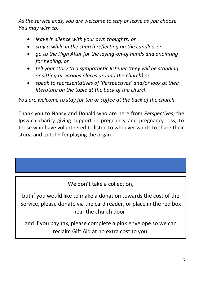*As the service ends, you are welcome to stay or leave as you choose. You may wish to:*

- *leave in silence with your own thoughts, or*
- *stay a while in the church reflecting on the candles, or*
- *go to the High Altar for the laying-on-of hands and anointing for healing, or*
- *tell your story to a sympathetic listener (they will be standing or sitting at various places around the church) or*
- *speak to representatives of 'Perspectives' and/or look at their literature on the table at the back of the church*

*You are welcome to stay for tea or coffee at the back of the church.*

Thank you to Nancy and Donald who are here from *Perspectives*, the Ipswich charity giving support in pregnancy and pregnancy loss, to those who have volunteered to listen to whoever wants to share their story, and to John for playing the organ.

We don't take a collection.

but if you would like to make a donation towards the cost of the Service, please donate via the card reader, or place in the red box near the church door -

and if you pay tax, please complete a pink envelope so we can reclaim Gift Aid at no extra cost to you.